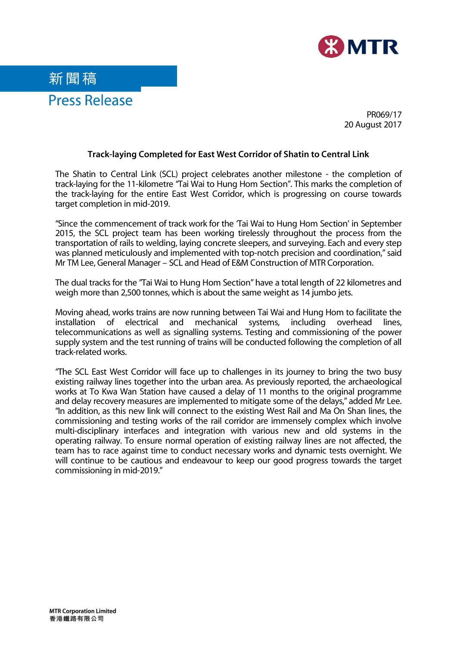



PR069/17 20 August 2017

## **Track-laying Completed for East West Corridor of Shatin to Central Link**

The Shatin to Central Link (SCL) project celebrates another milestone - the completion of track-laying for the 11-kilometre "Tai Wai to Hung Hom Section". This marks the completion of the track-laying for the entire East West Corridor, which is progressing on course towards target completion in mid-2019.

"Since the commencement of track work for the 'Tai Wai to Hung Hom Section' in September 2015, the SCL project team has been working tirelessly throughout the process from the transportation of rails to welding, laying concrete sleepers, and surveying. Each and every step was planned meticulously and implemented with top-notch precision and coordination," said Mr TM Lee, General Manager – SCL and Head of E&M Construction of MTR Corporation.

The dual tracks for the "Tai Wai to Hung Hom Section" have a total length of 22 kilometres and weigh more than 2,500 tonnes, which is about the same weight as 14 jumbo jets.

Moving ahead, works trains are now running between Tai Wai and Hung Hom to facilitate the installation of electrical and mechanical systems, including overhead lines, telecommunications as well as signalling systems. Testing and commissioning of the power supply system and the test running of trains will be conducted following the completion of all track-related works.

"The SCL East West Corridor will face up to challenges in its journey to bring the two busy existing railway lines together into the urban area. As previously reported, the archaeological works at To Kwa Wan Station have caused a delay of 11 months to the original programme and delay recovery measures are implemented to mitigate some of the delays," added Mr Lee. "In addition, as this new link will connect to the existing West Rail and Ma On Shan lines, the commissioning and testing works of the rail corridor are immensely complex which involve multi-disciplinary interfaces and integration with various new and old systems in the operating railway. To ensure normal operation of existing railway lines are not affected, the team has to race against time to conduct necessary works and dynamic tests overnight. We will continue to be cautious and endeavour to keep our good progress towards the target commissioning in mid-2019."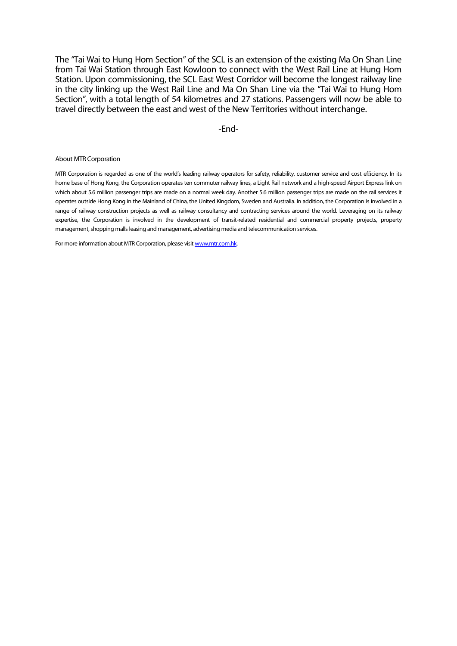The "Tai Wai to Hung Hom Section" of the SCL is an extension of the existing Ma On Shan Line from Tai Wai Station through East Kowloon to connect with the West Rail Line at Hung Hom Station. Upon commissioning, the SCL East West Corridor will become the longest railway line in the city linking up the West Rail Line and Ma On Shan Line via the "Tai Wai to Hung Hom Section", with a total length of 54 kilometres and 27 stations. Passengers will now be able to travel directly between the east and west of the New Territories without interchange.

-End-

## About MTR Corporation

MTR Corporation is regarded as one of the world's leading railway operators for safety, reliability, customer service and cost efficiency. In its home base of Hong Kong, the Corporation operates ten commuter railway lines, a Light Rail network and a high-speed Airport Express link on which about 5.6 million passenger trips are made on a normal week day. Another 5.6 million passenger trips are made on the rail services it operates outside Hong Kong in the Mainland of China, the United Kingdom, Sweden and Australia. In addition, the Corporation is involved in a range of railway construction projects as well as railway consultancy and contracting services around the world. Leveraging on its railway expertise, the Corporation is involved in the development of transit-related residential and commercial property projects, property management, shopping malls leasing and management, advertising media and telecommunication services.

For more information about MTR Corporation, please visi[t www.mtr.com.hk.](http://www.mtr.com.hk/)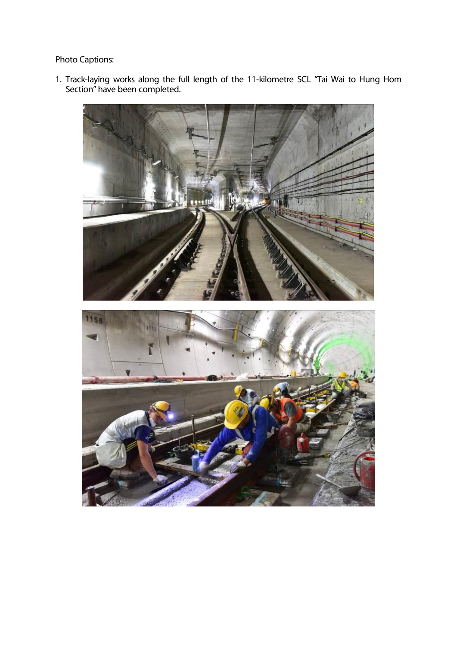## Photo Captions:

1. Track-laying works along the full length of the 11-kilometre SCL "Tai Wai to Hung Hom Section" have been completed.